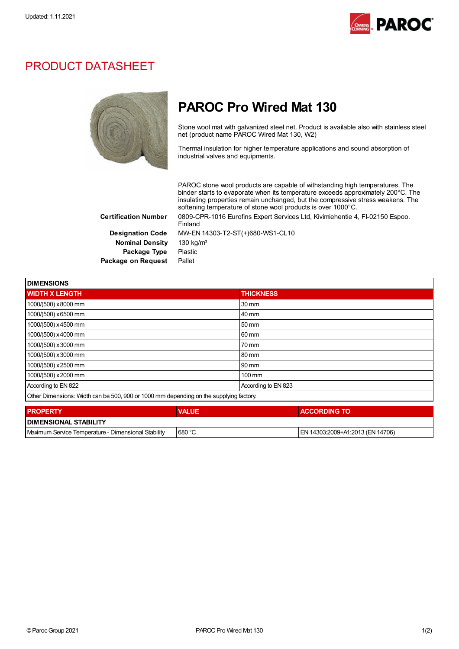

## PRODUCT DATASHEET



## PAROC Pro Wired Mat 130

Stone wool mat with galvanized steel net. Product is available also with stainless steel net (product name PAROC Wired Mat 130, W2)

Thermal insulation for higher temperature applications and sound absorption of industrial valves and equipments.

PAROC stone wool products are capable of withstanding high temperatures. The binder starts to evaporate when its temperature exceeds approximately 200°C. The insulating properties remain unchanged, but the compressive stress weakens. The softening temperature of stone wool products is over 1000°C. Certification Number 0809-CPR-1016 Eurofins Expert Services Ltd, Kivimiehentie 4, FI-02150 Espoo. Finland

Nominal Density 130 kg/m<sup>3</sup> Package Type Plastic Package on Request Pallet

Designation Code MW-EN 14303-T2-ST(+)680-WS1-CL10

| <b>DIMENSIONS</b>                                                                      |                     |  |
|----------------------------------------------------------------------------------------|---------------------|--|
| <b>WIDTH X LENGTH</b>                                                                  | <b>THICKNESS</b>    |  |
| 1000/(500) x8000 mm                                                                    | $30 \text{ mm}$     |  |
| 1000/(500) x 6500 mm                                                                   | 40 mm               |  |
| 1000/(500) x 4500 mm                                                                   | 50 mm               |  |
| 1000/(500) x 4000 mm                                                                   | 60 mm               |  |
| 1000/(500) x 3000 mm                                                                   | 70 mm               |  |
| 1000/(500) x 3000 mm                                                                   | 80 mm               |  |
| 1000/(500) x 2500 mm                                                                   | 90 mm               |  |
| 1000/(500) x 2000 mm                                                                   | $100 \text{ mm}$    |  |
| According to EN 822                                                                    | According to EN 823 |  |
| Other Dimensions: Width can be 500, 900 or 1000 mm depending on the supplying factory. |                     |  |

| <b>PROPERTY</b>                                     | <b>VALUE</b>  | <b>ACCORDING TO</b>              |  |  |
|-----------------------------------------------------|---------------|----------------------------------|--|--|
| <b>DIMENSIONAL STABILITY</b>                        |               |                                  |  |  |
| Maximum Service Temperature - Dimensional Stability | $\mid$ 680 °C | EN 14303:2009+A1:2013 (EN 14706) |  |  |